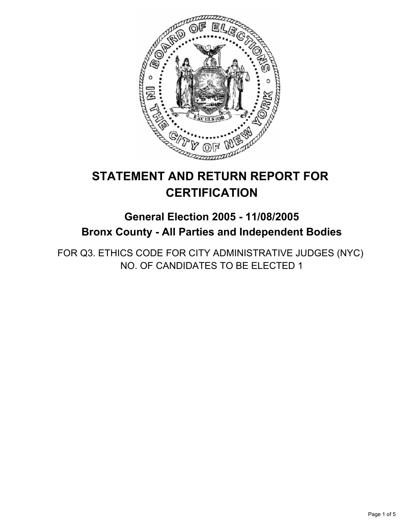

# **STATEMENT AND RETURN REPORT FOR CERTIFICATION**

## **General Election 2005 - 11/08/2005 Bronx County - All Parties and Independent Bodies**

FOR Q3. ETHICS CODE FOR CITY ADMINISTRATIVE JUDGES (NYC) NO. OF CANDIDATES TO BE ELECTED 1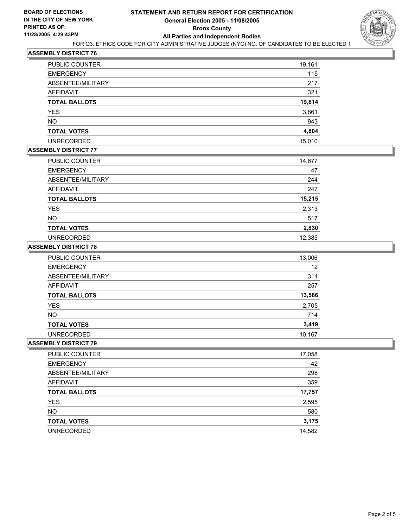

#### **ASSEMBLY DISTRICT 76**

| PUBLIC COUNTER       | 19,161 |
|----------------------|--------|
| <b>EMERGENCY</b>     | 115    |
| ABSENTEE/MILITARY    | 217    |
| AFFIDAVIT            | 321    |
| <b>TOTAL BALLOTS</b> | 19,814 |
| YES                  | 3,861  |
| <b>NO</b>            | 943    |
| <b>TOTAL VOTES</b>   | 4,804  |
| <b>UNRECORDED</b>    | 15,010 |

#### **ASSEMBLY DISTRICT 77**

| PUBLIC COUNTER       | 14,677 |
|----------------------|--------|
| <b>EMERGENCY</b>     | 47     |
| ABSENTEE/MILITARY    | 244    |
| <b>AFFIDAVIT</b>     | 247    |
| <b>TOTAL BALLOTS</b> | 15,215 |
| <b>YES</b>           | 2,313  |
| <b>NO</b>            | 517    |
| <b>TOTAL VOTES</b>   | 2,830  |
| <b>UNRECORDED</b>    | 12,385 |

#### **ASSEMBLY DISTRICT 78**

| PUBLIC COUNTER       | 13,006 |
|----------------------|--------|
| <b>EMERGENCY</b>     | 12     |
| ABSENTEE/MILITARY    | 311    |
| AFFIDAVIT            | 257    |
| <b>TOTAL BALLOTS</b> | 13,586 |
| <b>YES</b>           | 2,705  |
| <b>NO</b>            | 714    |
| <b>TOTAL VOTES</b>   | 3,419  |
| <b>UNRECORDED</b>    | 10,167 |

#### **ASSEMBLY DISTRICT 79**

| PUBLIC COUNTER       | 17,058 |
|----------------------|--------|
| <b>EMERGENCY</b>     | 42     |
| ABSENTEE/MILITARY    | 298    |
| AFFIDAVIT            | 359    |
| <b>TOTAL BALLOTS</b> | 17,757 |
| <b>YES</b>           | 2,595  |
| <b>NO</b>            | 580    |
| <b>TOTAL VOTES</b>   | 3,175  |
| <b>UNRECORDED</b>    | 14,582 |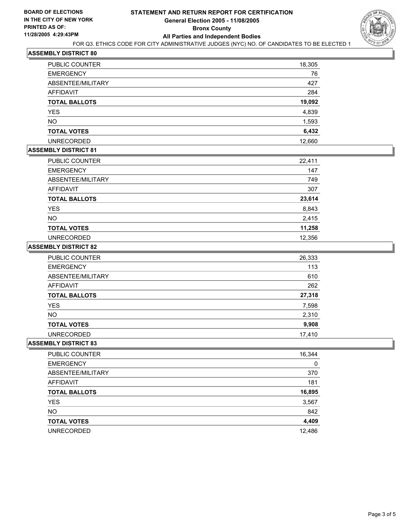

#### **ASSEMBLY DISTRICT 80**

| <b>PUBLIC COUNTER</b> | 18,305 |
|-----------------------|--------|
| <b>EMERGENCY</b>      | 76     |
| ABSENTEE/MILITARY     | 427    |
| AFFIDAVIT             | 284    |
| <b>TOTAL BALLOTS</b>  | 19,092 |
| <b>YES</b>            | 4,839  |
| <b>NO</b>             | 1,593  |
| <b>TOTAL VOTES</b>    | 6,432  |
| <b>UNRECORDED</b>     | 12,660 |

#### **ASSEMBLY DISTRICT 81**

| <b>PUBLIC COUNTER</b> | 22,411 |
|-----------------------|--------|
| <b>EMERGENCY</b>      | 147    |
| ABSENTEE/MILITARY     | 749    |
| AFFIDAVIT             | 307    |
| <b>TOTAL BALLOTS</b>  | 23,614 |
| <b>YES</b>            | 8,843  |
| <b>NO</b>             | 2,415  |
| <b>TOTAL VOTES</b>    | 11,258 |
| <b>UNRECORDED</b>     | 12,356 |

#### **ASSEMBLY DISTRICT 82**

| PUBLIC COUNTER       | 26,333 |
|----------------------|--------|
| <b>EMERGENCY</b>     | 113    |
| ABSENTEE/MILITARY    | 610    |
| AFFIDAVIT            | 262    |
| <b>TOTAL BALLOTS</b> | 27,318 |
| <b>YES</b>           | 7,598  |
| <b>NO</b>            | 2,310  |
| <b>TOTAL VOTES</b>   | 9,908  |
| <b>UNRECORDED</b>    | 17.410 |

#### **ASSEMBLY DISTRICT 83**

| 16,344 |
|--------|
| 0      |
| 370    |
| 181    |
| 16,895 |
| 3,567  |
| 842    |
| 4,409  |
| 12,486 |
|        |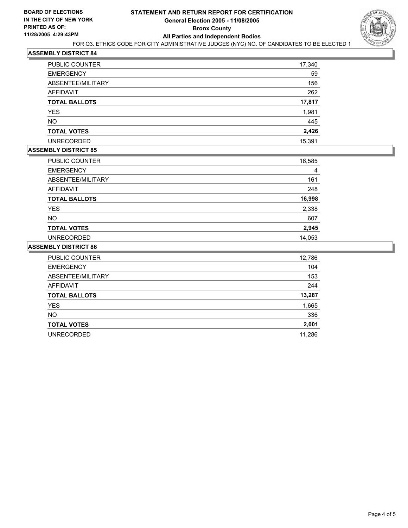

#### **ASSEMBLY DISTRICT 84**

| PUBLIC COUNTER       | 17,340 |
|----------------------|--------|
| <b>EMERGENCY</b>     | 59     |
| ABSENTEE/MILITARY    | 156    |
| AFFIDAVIT            | 262    |
| <b>TOTAL BALLOTS</b> | 17,817 |
| <b>YES</b>           | 1,981  |
| <b>NO</b>            | 445    |
| <b>TOTAL VOTES</b>   | 2,426  |
| <b>UNRECORDED</b>    | 15,391 |

#### **ASSEMBLY DISTRICT 85**

| PUBLIC COUNTER       | 16,585 |  |
|----------------------|--------|--|
| <b>EMERGENCY</b>     | 4      |  |
| ABSENTEE/MILITARY    | 161    |  |
| <b>AFFIDAVIT</b>     | 248    |  |
| <b>TOTAL BALLOTS</b> | 16,998 |  |
| <b>YES</b>           | 2,338  |  |
| <b>NO</b>            | 607    |  |
| <b>TOTAL VOTES</b>   | 2,945  |  |
| <b>UNRECORDED</b>    | 14,053 |  |

#### **ASSEMBLY DISTRICT 86**

| PUBLIC COUNTER       | 12,786 |
|----------------------|--------|
| <b>EMERGENCY</b>     | 104    |
| ABSENTEE/MILITARY    | 153    |
| AFFIDAVIT            | 244    |
| <b>TOTAL BALLOTS</b> | 13,287 |
| <b>YES</b>           | 1,665  |
| <b>NO</b>            | 336    |
| <b>TOTAL VOTES</b>   | 2,001  |
| <b>UNRECORDED</b>    | 11,286 |